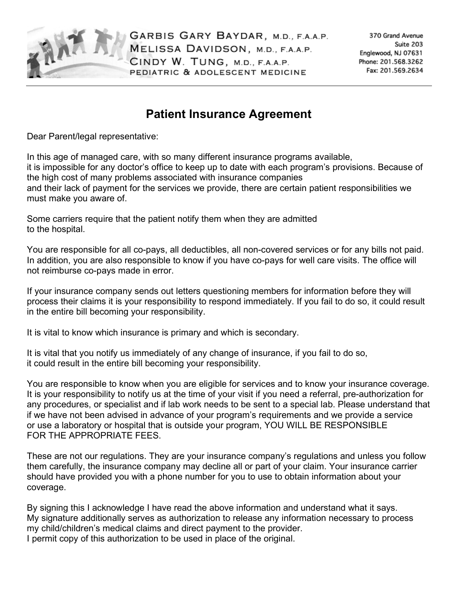

## **Patient Insurance Agreement**

Dear Parent/legal representative:

In this age of managed care, with so many different insurance programs available, it is impossible for any doctor's office to keep up to date with each program's provisions. Because of the high cost of many problems associated with insurance companies and their lack of payment for the services we provide, there are certain patient responsibilities we must make you aware of.

Some carriers require that the patient notify them when they are admitted to the hospital.

You are responsible for all co-pays, all deductibles, all non-covered services or for any bills not paid. In addition, you are also responsible to know if you have co-pays for well care visits. The office will not reimburse co-pays made in error.

If your insurance company sends out letters questioning members for information before they will process their claims it is your responsibility to respond immediately. If you fail to do so, it could result in the entire bill becoming your responsibility.

It is vital to know which insurance is primary and which is secondary.

It is vital that you notify us immediately of any change of insurance, if you fail to do so, it could result in the entire bill becoming your responsibility.

You are responsible to know when you are eligible for services and to know your insurance coverage. It is your responsibility to notify us at the time of your visit if you need a referral, pre-authorization for any procedures, or specialist and if lab work needs to be sent to a special lab. Please understand that if we have not been advised in advance of your program's requirements and we provide a service or use a laboratory or hospital that is outside your program, YOU WILL BE RESPONSIBLE FOR THE APPROPRIATE FEES.

These are not our regulations. They are your insurance company's regulations and unless you follow them carefully, the insurance company may decline all or part of your claim. Your insurance carrier should have provided you with a phone number for you to use to obtain information about your coverage.

By signing this I acknowledge I have read the above information and understand what it says. My signature additionally serves as authorization to release any information necessary to process my child/children's medical claims and direct payment to the provider. I permit copy of this authorization to be used in place of the original.